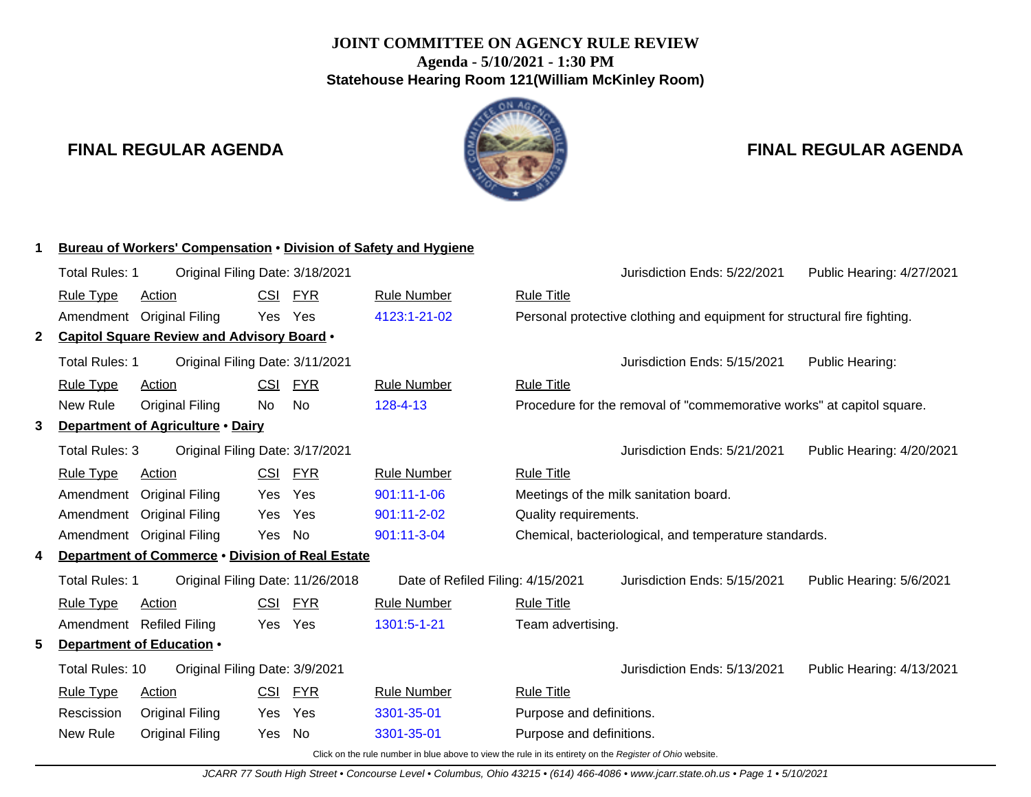# **JOINT COMMITTEE ON AGENCY RULE REVIEW Agenda - 5/10/2021 - 1:30 PM Statehouse Hearing Room 121(William McKinley Room)**

# **FINAL REGULAR AGENDA FINAL REGULAR AGENDA**



|    | <b>Bureau of Workers' Compensation . Division of Safety and Hygiene</b> |                                                   |            |            |                                                                                                                |                          |                                                                          |                           |
|----|-------------------------------------------------------------------------|---------------------------------------------------|------------|------------|----------------------------------------------------------------------------------------------------------------|--------------------------|--------------------------------------------------------------------------|---------------------------|
|    | <b>Total Rules: 1</b>                                                   | Original Filing Date: 3/18/2021                   |            |            |                                                                                                                |                          | Jurisdiction Ends: 5/22/2021                                             | Public Hearing: 4/27/2021 |
|    | <b>Rule Type</b>                                                        | <b>Action</b>                                     | CSI FYR    |            | <b>Rule Number</b>                                                                                             | <b>Rule Title</b>        |                                                                          |                           |
|    |                                                                         | Amendment Original Filing                         | Yes Yes    |            | 4123:1-21-02                                                                                                   |                          | Personal protective clothing and equipment for structural fire fighting. |                           |
| 2  |                                                                         | <b>Capitol Square Review and Advisory Board .</b> |            |            |                                                                                                                |                          |                                                                          |                           |
|    | Total Rules: 1                                                          | Original Filing Date: 3/11/2021                   |            |            |                                                                                                                |                          | Jurisdiction Ends: 5/15/2021                                             | Public Hearing:           |
|    | <b>Rule Type</b>                                                        | Action                                            | <b>CSI</b> | <b>FYR</b> | <b>Rule Number</b>                                                                                             | <b>Rule Title</b>        |                                                                          |                           |
|    | New Rule                                                                | <b>Original Filing</b>                            | No         | No         | 128-4-13                                                                                                       |                          | Procedure for the removal of "commemorative works" at capitol square.    |                           |
| 3  |                                                                         | Department of Agriculture . Dairy                 |            |            |                                                                                                                |                          |                                                                          |                           |
|    | Total Rules: 3                                                          | Original Filing Date: 3/17/2021                   |            |            |                                                                                                                |                          | Jurisdiction Ends: 5/21/2021                                             | Public Hearing: 4/20/2021 |
|    | <b>Rule Type</b>                                                        | Action                                            | <b>CSI</b> | <b>FYR</b> | <b>Rule Number</b>                                                                                             | <b>Rule Title</b>        |                                                                          |                           |
|    | Amendment                                                               | <b>Original Filing</b>                            | Yes        | Yes        | 901:11-1-06                                                                                                    |                          | Meetings of the milk sanitation board.                                   |                           |
|    | Amendment                                                               | <b>Original Filing</b>                            | <b>Yes</b> | Yes        | 901:11-2-02                                                                                                    | Quality requirements.    |                                                                          |                           |
|    |                                                                         | Amendment Original Filing                         | Yes        | No         | 901:11-3-04                                                                                                    |                          | Chemical, bacteriological, and temperature standards.                    |                           |
| 4  |                                                                         | Department of Commerce . Division of Real Estate  |            |            |                                                                                                                |                          |                                                                          |                           |
|    | Total Rules: 1                                                          | Original Filing Date: 11/26/2018                  |            |            | Date of Refiled Filing: 4/15/2021                                                                              |                          | Jurisdiction Ends: 5/15/2021                                             | Public Hearing: 5/6/2021  |
|    | <b>Rule Type</b>                                                        | Action                                            | CSI        | <b>FYR</b> | <b>Rule Number</b>                                                                                             | <b>Rule Title</b>        |                                                                          |                           |
|    | Amendment                                                               | <b>Refiled Filing</b>                             | Yes        | Yes        | 1301:5-1-21                                                                                                    | Team advertising.        |                                                                          |                           |
| 5. |                                                                         | Department of Education .                         |            |            |                                                                                                                |                          |                                                                          |                           |
|    | Total Rules: 10                                                         | Original Filing Date: 3/9/2021                    |            |            |                                                                                                                |                          | Jurisdiction Ends: 5/13/2021                                             | Public Hearing: 4/13/2021 |
|    | <b>Rule Type</b>                                                        | <b>Action</b>                                     | <b>CSI</b> | <b>FYR</b> | <b>Rule Number</b>                                                                                             | <b>Rule Title</b>        |                                                                          |                           |
|    | Rescission                                                              | <b>Original Filing</b>                            | Yes        | Yes        | 3301-35-01                                                                                                     | Purpose and definitions. |                                                                          |                           |
|    | New Rule                                                                | <b>Original Filing</b>                            | Yes        | No         | 3301-35-01                                                                                                     | Purpose and definitions. |                                                                          |                           |
|    |                                                                         |                                                   |            |            | Cliek on the rule number in blue above to view the rule in its entirety on the <i>Domintor of Obje webgite</i> |                          |                                                                          |                           |

Click on the rule number in blue above to view the rule in its entirety on the Register of Ohio website.

JCARR 77 South High Street • Concourse Level • Columbus, Ohio 43215 • (614) 466-4086 • www.jcarr.state.oh.us • Page 1 • 5/10/2021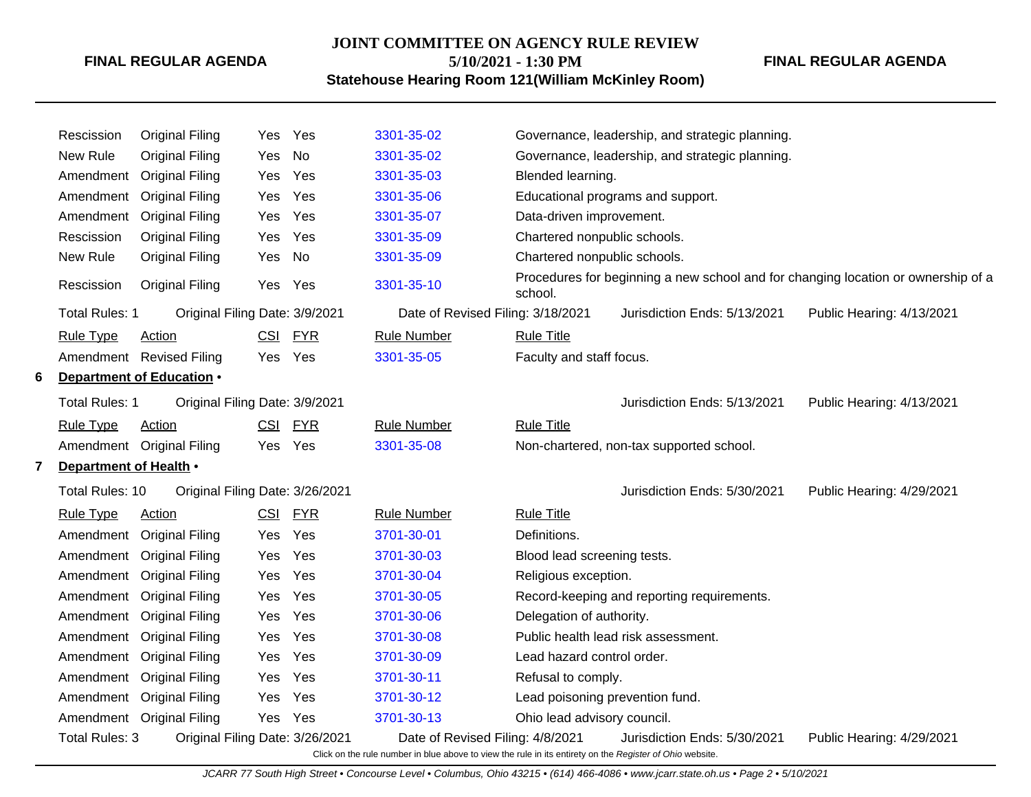# **JOINT COMMITTEE ON AGENCY RULE REVIEW 5/10/2021 - 1:30 PM**

**FINAL REGULAR AGENDA**

**Statehouse Hearing Room 121(William McKinley Room)**

|   | Rescission             | <b>Original Filing</b>          |     | Yes Yes | 3301-35-02                                                                                               |                                 | Governance, leadership, and strategic planning. |                                                                                   |
|---|------------------------|---------------------------------|-----|---------|----------------------------------------------------------------------------------------------------------|---------------------------------|-------------------------------------------------|-----------------------------------------------------------------------------------|
|   | New Rule               | <b>Original Filing</b>          | Yes | No      | 3301-35-02                                                                                               |                                 | Governance, leadership, and strategic planning. |                                                                                   |
|   | Amendment              | <b>Original Filing</b>          | Yes | Yes     | 3301-35-03                                                                                               | Blended learning.               |                                                 |                                                                                   |
|   |                        | Amendment Original Filing       | Yes | Yes     | 3301-35-06                                                                                               |                                 | Educational programs and support.               |                                                                                   |
|   | Amendment              | <b>Original Filing</b>          | Yes | Yes     | 3301-35-07                                                                                               | Data-driven improvement.        |                                                 |                                                                                   |
|   | Rescission             | <b>Original Filing</b>          | Yes | Yes     | 3301-35-09                                                                                               | Chartered nonpublic schools.    |                                                 |                                                                                   |
|   | New Rule               | <b>Original Filing</b>          | Yes | No      | 3301-35-09                                                                                               | Chartered nonpublic schools.    |                                                 |                                                                                   |
|   | Rescission             | <b>Original Filing</b>          |     | Yes Yes | 3301-35-10                                                                                               | school.                         |                                                 | Procedures for beginning a new school and for changing location or ownership of a |
|   | Total Rules: 1         | Original Filing Date: 3/9/2021  |     |         | Date of Revised Filing: 3/18/2021                                                                        |                                 | Jurisdiction Ends: 5/13/2021                    | Public Hearing: 4/13/2021                                                         |
|   | <b>Rule Type</b>       | Action                          |     | CSI FYR | <b>Rule Number</b>                                                                                       | <b>Rule Title</b>               |                                                 |                                                                                   |
|   |                        | Amendment Revised Filing        |     | Yes Yes | 3301-35-05                                                                                               | Faculty and staff focus.        |                                                 |                                                                                   |
| 6 |                        | Department of Education .       |     |         |                                                                                                          |                                 |                                                 |                                                                                   |
|   | Total Rules: 1         | Original Filing Date: 3/9/2021  |     |         |                                                                                                          |                                 | Jurisdiction Ends: 5/13/2021                    | Public Hearing: 4/13/2021                                                         |
|   | <b>Rule Type</b>       | Action                          |     | CSI FYR | <b>Rule Number</b>                                                                                       | <b>Rule Title</b>               |                                                 |                                                                                   |
|   |                        | Amendment Original Filing       |     | Yes Yes | 3301-35-08                                                                                               |                                 | Non-chartered, non-tax supported school.        |                                                                                   |
|   | Department of Health . |                                 |     |         |                                                                                                          |                                 |                                                 |                                                                                   |
|   | Total Rules: 10        | Original Filing Date: 3/26/2021 |     |         |                                                                                                          |                                 | Jurisdiction Ends: 5/30/2021                    | Public Hearing: 4/29/2021                                                         |
|   | <b>Rule Type</b>       | <b>Action</b>                   |     | CSI FYR | <b>Rule Number</b>                                                                                       | <b>Rule Title</b>               |                                                 |                                                                                   |
|   |                        | Amendment Original Filing       | Yes | Yes     | 3701-30-01                                                                                               | Definitions.                    |                                                 |                                                                                   |
|   |                        | Amendment Original Filing       | Yes | Yes     | 3701-30-03                                                                                               | Blood lead screening tests.     |                                                 |                                                                                   |
|   |                        | Amendment Original Filing       | Yes | Yes     | 3701-30-04                                                                                               | Religious exception.            |                                                 |                                                                                   |
|   |                        | Amendment Original Filing       | Yes | Yes     | 3701-30-05                                                                                               |                                 | Record-keeping and reporting requirements.      |                                                                                   |
|   |                        | Amendment Original Filing       | Yes | Yes     | 3701-30-06                                                                                               | Delegation of authority.        |                                                 |                                                                                   |
|   |                        | Amendment Original Filing       | Yes | Yes     | 3701-30-08                                                                                               |                                 | Public health lead risk assessment.             |                                                                                   |
|   |                        | Amendment Original Filing       | Yes | Yes     | 3701-30-09                                                                                               | Lead hazard control order.      |                                                 |                                                                                   |
|   |                        | Amendment Original Filing       | Yes | Yes     | 3701-30-11                                                                                               | Refusal to comply.              |                                                 |                                                                                   |
|   |                        | Amendment Original Filing       | Yes | Yes     | 3701-30-12                                                                                               | Lead poisoning prevention fund. |                                                 |                                                                                   |
|   |                        | Amendment Original Filing       |     | Yes Yes | 3701-30-13                                                                                               | Ohio lead advisory council.     |                                                 |                                                                                   |
|   | Total Rules: 3         | Original Filing Date: 3/26/2021 |     |         | Date of Revised Filing: 4/8/2021                                                                         |                                 | Jurisdiction Ends: 5/30/2021                    | Public Hearing: 4/29/2021                                                         |
|   |                        |                                 |     |         | Click on the rule number in blue above to view the rule in its entirety on the Register of Ohio website. |                                 |                                                 |                                                                                   |

JCARR 77 South High Street • Concourse Level • Columbus, Ohio 43215 • (614) 466-4086 • www.jcarr.state.oh.us • Page 2 • 5/10/2021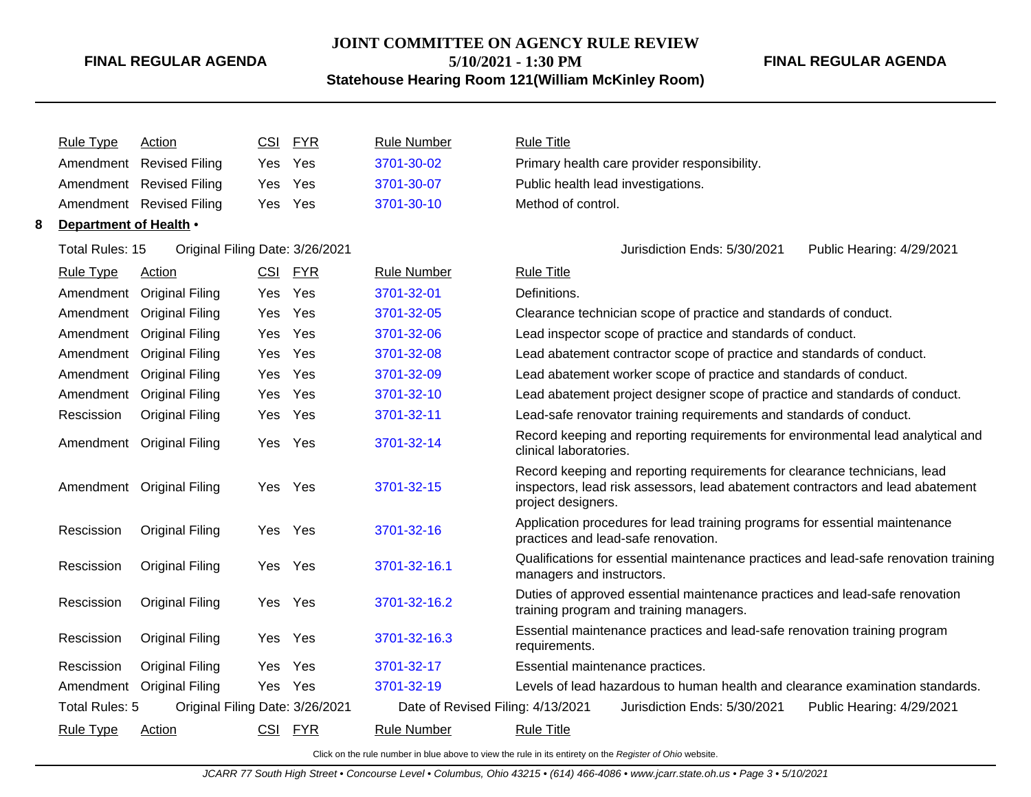# **JOINT COMMITTEE ON AGENCY RULE REVIEW**

**5/10/2021 - 1:30 PM**

#### **Statehouse Hearing Room 121(William McKinley Room)**

**FINAL REGULAR AGENDA**

Rule Type Action **CSI FYR** Rule Number Rule Title Amendment Revised Filing Yes Yes [3701-30-02](http://www.registerofohio.state.oh.us/jsps/publicdisplayrules/processPublicDisplayRules.jsp?entered_rule_no=3701-30-02&doWhat=GETBYRULENUM&raID=0) Primary health care provider responsibility. Amendment Revised Filing Yes Yes [3701-30-07](http://www.registerofohio.state.oh.us/jsps/publicdisplayrules/processPublicDisplayRules.jsp?entered_rule_no=3701-30-07&doWhat=GETBYRULENUM&raID=0) Public health lead investigations. Amendment Revised Filing Yes Yes [3701-30-10](http://www.registerofohio.state.oh.us/jsps/publicdisplayrules/processPublicDisplayRules.jsp?entered_rule_no=3701-30-10&doWhat=GETBYRULENUM&raID=0) Method of control. **8 Department of Health** • Total Rules: 15 Original Filing Date: 3/26/2021 Jurisdiction Ends: 5/30/2021 Public Hearing: 4/29/2021 Rule Type Action **CSI FYR** Rule Number Rule Title Amendment Original Filing Yes Yes [3701-32-01](http://www.registerofohio.state.oh.us/jsps/publicdisplayrules/processPublicDisplayRules.jsp?entered_rule_no=3701-32-01&doWhat=GETBYRULENUM&raID=0) Definitions. Amendment Original Filing Yes Yes [3701-32-05](http://www.registerofohio.state.oh.us/jsps/publicdisplayrules/processPublicDisplayRules.jsp?entered_rule_no=3701-32-05&doWhat=GETBYRULENUM&raID=0) Clearance technician scope of practice and standards of conduct. Amendment Original Filing Yes Yes [3701-32-06](http://www.registerofohio.state.oh.us/jsps/publicdisplayrules/processPublicDisplayRules.jsp?entered_rule_no=3701-32-06&doWhat=GETBYRULENUM&raID=0) Lead inspector scope of practice and standards of conduct. Amendment Original Filing Yes Yes [3701-32-08](http://www.registerofohio.state.oh.us/jsps/publicdisplayrules/processPublicDisplayRules.jsp?entered_rule_no=3701-32-08&doWhat=GETBYRULENUM&raID=0) Lead abatement contractor scope of practice and standards of conduct. Amendment Original Filing Yes Yes [3701-32-09](http://www.registerofohio.state.oh.us/jsps/publicdisplayrules/processPublicDisplayRules.jsp?entered_rule_no=3701-32-09&doWhat=GETBYRULENUM&raID=0) Lead abatement worker scope of practice and standards of conduct. Amendment Original Filing Yes Yes [3701-32-10](http://www.registerofohio.state.oh.us/jsps/publicdisplayrules/processPublicDisplayRules.jsp?entered_rule_no=3701-32-10&doWhat=GETBYRULENUM&raID=0) Lead abatement project designer scope of practice and standards of conduct. Rescission Original Filing Yes Yes [3701-32-11](http://www.registerofohio.state.oh.us/jsps/publicdisplayrules/processPublicDisplayRules.jsp?entered_rule_no=3701-32-11&doWhat=GETBYRULENUM&raID=0) Lead-safe renovator training requirements and standards of conduct. Amendment Original Filing Yes Yes [3701-32-14](http://www.registerofohio.state.oh.us/jsps/publicdisplayrules/processPublicDisplayRules.jsp?entered_rule_no=3701-32-14&doWhat=GETBYRULENUM&raID=0) Record keeping and reporting requirements for environmental lead analytical and clinical laboratories. Amendment Original Filing Yes Yes [3701-32-15](http://www.registerofohio.state.oh.us/jsps/publicdisplayrules/processPublicDisplayRules.jsp?entered_rule_no=3701-32-15&doWhat=GETBYRULENUM&raID=0) Record keeping and reporting requirements for clearance technicians, lead inspectors, lead risk assessors, lead abatement contractors and lead abatement project designers. Rescission Original Filing Yes Yes [3701-32-16](http://www.registerofohio.state.oh.us/jsps/publicdisplayrules/processPublicDisplayRules.jsp?entered_rule_no=3701-32-16&doWhat=GETBYRULENUM&raID=0) Application procedures for lead training programs for essential maintenance practices and lead-safe renovation. Rescission Original Filing Yes Yes [3701-32-16.1](http://www.registerofohio.state.oh.us/jsps/publicdisplayrules/processPublicDisplayRules.jsp?entered_rule_no=3701-32-16.1&doWhat=GETBYRULENUM&raID=0) Qualifications for essential maintenance practices and lead-safe renovation training managers and instructors. Rescission Original Filing Yes Yes [3701-32-16.2](http://www.registerofohio.state.oh.us/jsps/publicdisplayrules/processPublicDisplayRules.jsp?entered_rule_no=3701-32-16.2&doWhat=GETBYRULENUM&raID=0) Duties of approved essential maintenance practices and lead-safe renovation training program and training managers. Rescission Original Filing Yes Yes [3701-32-16.3](http://www.registerofohio.state.oh.us/jsps/publicdisplayrules/processPublicDisplayRules.jsp?entered_rule_no=3701-32-16.3&doWhat=GETBYRULENUM&raID=0) Essential maintenance practices and lead-safe renovation training program requirements. Rescission Original Filing Yes Yes [3701-32-17](http://www.registerofohio.state.oh.us/jsps/publicdisplayrules/processPublicDisplayRules.jsp?entered_rule_no=3701-32-17&doWhat=GETBYRULENUM&raID=0) Essential maintenance practices. Amendment Original Filing Yes Yes [3701-32-19](http://www.registerofohio.state.oh.us/jsps/publicdisplayrules/processPublicDisplayRules.jsp?entered_rule_no=3701-32-19&doWhat=GETBYRULENUM&raID=0) Levels of lead hazardous to human health and clearance examination standards. Total Rules: 5 Original Filing Date: 3/26/2021 Date of Revised Filing: 4/13/2021 Jurisdiction Ends: 5/30/2021 Public Hearing: 4/29/2021 Rule Type Action **CSI FYR** Rule Number Rule Title

Click on the rule number in blue above to view the rule in its entirety on the Register of Ohio website.

JCARR 77 South High Street • Concourse Level • Columbus, Ohio 43215 • (614) 466-4086 • www.jcarr.state.oh.us • Page 3 • 5/10/2021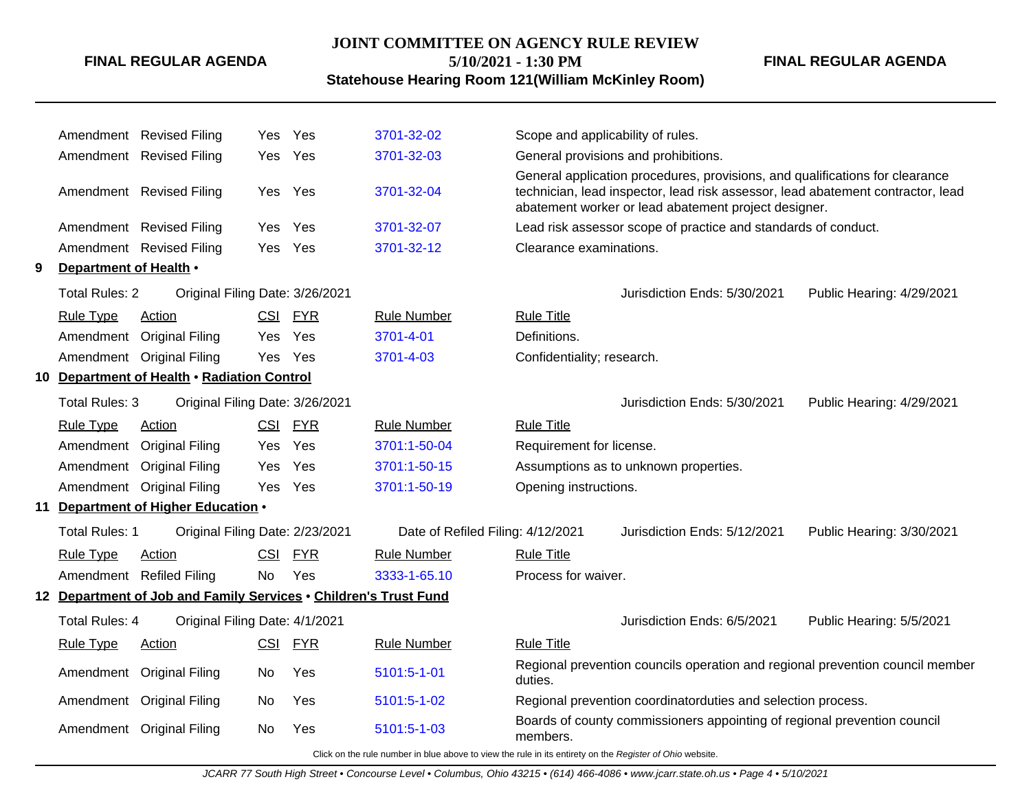#### **JOINT COMMITTEE ON AGENCY RULE REVIEW**

**5/10/2021 - 1:30 PM**

#### **Statehouse Hearing Room 121(William McKinley Room)**

Amendment Revised Filing Yes Yes [3701-32-02](http://www.registerofohio.state.oh.us/jsps/publicdisplayrules/processPublicDisplayRules.jsp?entered_rule_no=3701-32-02&doWhat=GETBYRULENUM&raID=0) Scope and applicability of rules. Amendment Revised Filing Yes Yes [3701-32-03](http://www.registerofohio.state.oh.us/jsps/publicdisplayrules/processPublicDisplayRules.jsp?entered_rule_no=3701-32-03&doWhat=GETBYRULENUM&raID=0) General provisions and prohibitions. Amendment Revised Filing Yes Yes [3701-32-04](http://www.registerofohio.state.oh.us/jsps/publicdisplayrules/processPublicDisplayRules.jsp?entered_rule_no=3701-32-04&doWhat=GETBYRULENUM&raID=0) General application procedures, provisions, and qualifications for clearance technician, lead inspector, lead risk assessor, lead abatement contractor, lead abatement worker or lead abatement project designer. Amendment Revised Filing Yes Yes [3701-32-07](http://www.registerofohio.state.oh.us/jsps/publicdisplayrules/processPublicDisplayRules.jsp?entered_rule_no=3701-32-07&doWhat=GETBYRULENUM&raID=0) Lead risk assessor scope of practice and standards of conduct. Amendment Revised Filing Yes Yes [3701-32-12](http://www.registerofohio.state.oh.us/jsps/publicdisplayrules/processPublicDisplayRules.jsp?entered_rule_no=3701-32-12&doWhat=GETBYRULENUM&raID=0) Clearance examinations. **9 Department of Health** • Total Rules: 2 Original Filing Date: 3/26/2021 Jurisdiction Ends: 5/30/2021 Public Hearing: 4/29/2021 Rule Type Action **CSI FYR** Rule Number Rule Title Amendment Original Filing Yes Yes [3701-4-01](http://www.registerofohio.state.oh.us/jsps/publicdisplayrules/processPublicDisplayRules.jsp?entered_rule_no=3701-4-01&doWhat=GETBYRULENUM&raID=0) Definitions. Amendment Original Filing Yes Yes [3701-4-03](http://www.registerofohio.state.oh.us/jsps/publicdisplayrules/processPublicDisplayRules.jsp?entered_rule_no=3701-4-03&doWhat=GETBYRULENUM&raID=0) Confidentiality; research. **10 Department of Health** • **Radiation Control** Total Rules: 3 Original Filing Date: 3/26/2021 Jurisdiction Ends: 5/30/2021 Public Hearing: 4/29/2021 Rule Type Action **CSI FYR** Rule Number Rule Title Amendment Original Filing Yes Yes [3701:1-50-04](http://www.registerofohio.state.oh.us/jsps/publicdisplayrules/processPublicDisplayRules.jsp?entered_rule_no=3701:1-50-04&doWhat=GETBYRULENUM&raID=0) Requirement for license. Amendment Original Filing Yes Yes [3701:1-50-15](http://www.registerofohio.state.oh.us/jsps/publicdisplayrules/processPublicDisplayRules.jsp?entered_rule_no=3701:1-50-15&doWhat=GETBYRULENUM&raID=0) Assumptions as to unknown properties. Amendment Original Filing Yes Yes [3701:1-50-19](http://www.registerofohio.state.oh.us/jsps/publicdisplayrules/processPublicDisplayRules.jsp?entered_rule_no=3701:1-50-19&doWhat=GETBYRULENUM&raID=0) Opening instructions. **11 Department of Higher Education** • Total Rules: 1 Original Filing Date: 2/23/2021 Date of Refiled Filing: 4/12/2021 Jurisdiction Ends: 5/12/2021 Public Hearing: 3/30/2021 Rule Type Action **CSI FYR** Rule Number Rule Title Amendment Refiled Filing No Yes [3333-1-65.10](http://www.registerofohio.state.oh.us/jsps/publicdisplayrules/processPublicDisplayRules.jsp?entered_rule_no=3333-1-65.10&doWhat=GETBYRULENUM&raID=0) Process for waiver. **12 Department of Job and Family Services** • **Children's Trust Fund** Total Rules: 4 Original Filing Date: 4/1/2021 Jurisdiction Ends: 6/5/2021 Public Hearing: 5/5/2021 Rule Type Action **CSI FYR** Rule Number Rule Title Amendment Original Filing No Yes [5101:5-1-01](http://www.registerofohio.state.oh.us/jsps/publicdisplayrules/processPublicDisplayRules.jsp?entered_rule_no=5101:5-1-01&doWhat=GETBYRULENUM&raID=0) Regional prevention councils operation and regional prevention council member duties. Amendment Original Filing No Yes [5101:5-1-02](http://www.registerofohio.state.oh.us/jsps/publicdisplayrules/processPublicDisplayRules.jsp?entered_rule_no=5101:5-1-02&doWhat=GETBYRULENUM&raID=0) Regional prevention coordinatorduties and selection process. Amendment Original Filing No Yes [5101:5-1-03](http://www.registerofohio.state.oh.us/jsps/publicdisplayrules/processPublicDisplayRules.jsp?entered_rule_no=5101:5-1-03&doWhat=GETBYRULENUM&raID=0) Boards of county commissioners appointing of regional prevention council members.

Click on the rule number in blue above to view the rule in its entirety on the Register of Ohio website.

**FINAL REGULAR AGENDA**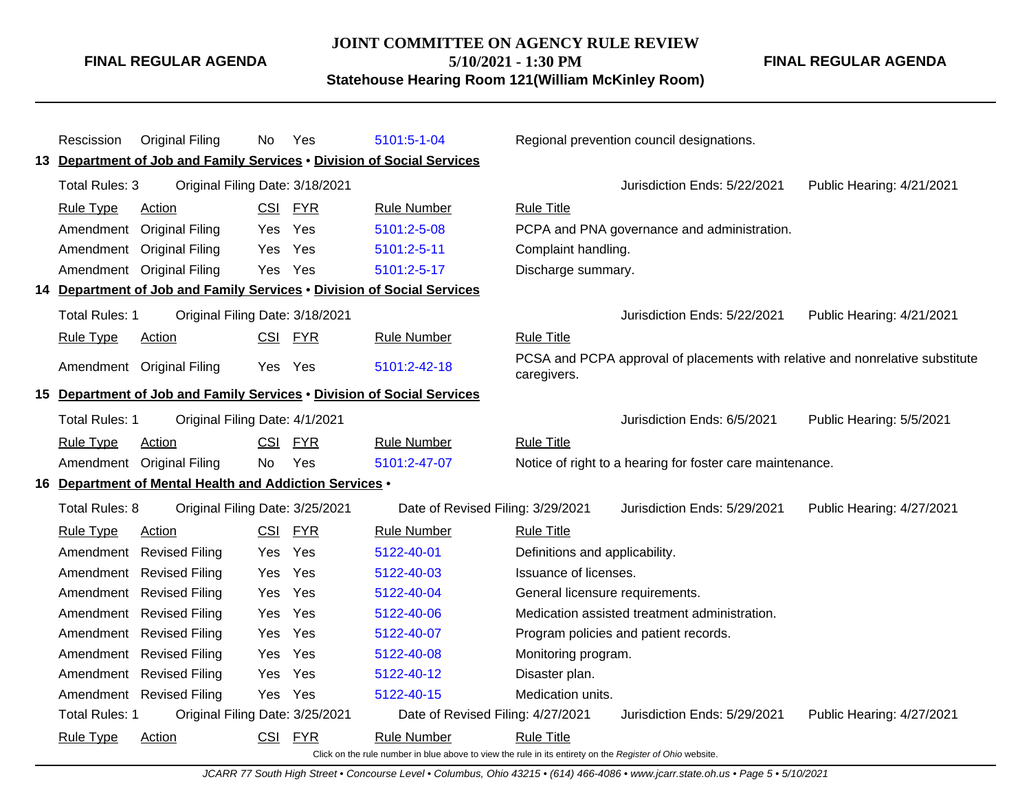#### **JOINT COMMITTEE ON AGENCY RULE REVIEW**

**FINAL REGULAR AGENDA**

**5/10/2021 - 1:30 PM**

**Statehouse Hearing Room 121(William McKinley Room)**

**FINAL REGULAR AGENDA**

| Rescission                                        | <b>Original Filing</b>                                                 | No         | Yes        | 5101:5-1-04                                                                                              |                                 | Regional prevention council designations.                                     |                           |
|---------------------------------------------------|------------------------------------------------------------------------|------------|------------|----------------------------------------------------------------------------------------------------------|---------------------------------|-------------------------------------------------------------------------------|---------------------------|
|                                                   | 13 Department of Job and Family Services . Division of Social Services |            |            |                                                                                                          |                                 |                                                                               |                           |
| Total Rules: 3<br>Original Filing Date: 3/18/2021 |                                                                        |            |            |                                                                                                          |                                 | Jurisdiction Ends: 5/22/2021                                                  | Public Hearing: 4/21/2021 |
| <b>Rule Type</b>                                  | Action                                                                 | CSI FYR    |            | <b>Rule Number</b>                                                                                       | <b>Rule Title</b>               |                                                                               |                           |
|                                                   | Amendment Original Filing                                              | Yes        | Yes        | 5101:2-5-08                                                                                              |                                 | PCPA and PNA governance and administration.                                   |                           |
|                                                   | Amendment Original Filing                                              | Yes        | Yes        | 5101:2-5-11                                                                                              | Complaint handling.             |                                                                               |                           |
|                                                   | Amendment Original Filing                                              | Yes        | Yes        | 5101:2-5-17                                                                                              | Discharge summary.              |                                                                               |                           |
|                                                   | 14 Department of Job and Family Services . Division of Social Services |            |            |                                                                                                          |                                 |                                                                               |                           |
| Total Rules: 1                                    | Original Filing Date: 3/18/2021                                        |            |            |                                                                                                          |                                 | Jurisdiction Ends: 5/22/2021                                                  | Public Hearing: 4/21/2021 |
| <b>Rule Type</b>                                  | Action                                                                 |            | CSI FYR    | <b>Rule Number</b>                                                                                       | <b>Rule Title</b>               |                                                                               |                           |
|                                                   | Amendment Original Filing                                              | Yes Yes    |            | 5101:2-42-18                                                                                             | caregivers.                     | PCSA and PCPA approval of placements with relative and nonrelative substitute |                           |
|                                                   | 15 Department of Job and Family Services . Division of Social Services |            |            |                                                                                                          |                                 |                                                                               |                           |
| <b>Total Rules: 1</b>                             | Original Filing Date: 4/1/2021                                         |            |            |                                                                                                          |                                 | Jurisdiction Ends: 6/5/2021                                                   | Public Hearing: 5/5/2021  |
| <b>Rule Type</b>                                  | Action                                                                 | <b>CSI</b> | <b>FYR</b> | <b>Rule Number</b>                                                                                       | <b>Rule Title</b>               |                                                                               |                           |
|                                                   | Amendment Original Filing                                              | No.        | Yes        | 5101:2-47-07                                                                                             |                                 | Notice of right to a hearing for foster care maintenance.                     |                           |
|                                                   | 16 Department of Mental Health and Addiction Services .                |            |            |                                                                                                          |                                 |                                                                               |                           |
| Total Rules: 8                                    | Original Filing Date: 3/25/2021                                        |            |            | Date of Revised Filing: 3/29/2021                                                                        |                                 | Jurisdiction Ends: 5/29/2021                                                  | Public Hearing: 4/27/2021 |
| <b>Rule Type</b>                                  | Action                                                                 | CSI        | <u>FYR</u> | <b>Rule Number</b>                                                                                       | <b>Rule Title</b>               |                                                                               |                           |
|                                                   | Amendment Revised Filing                                               | Yes        | Yes        | 5122-40-01                                                                                               | Definitions and applicability.  |                                                                               |                           |
|                                                   | Amendment Revised Filing                                               | Yes        | Yes        | 5122-40-03                                                                                               | Issuance of licenses.           |                                                                               |                           |
|                                                   | Amendment Revised Filing                                               | Yes        | Yes        | 5122-40-04                                                                                               | General licensure requirements. |                                                                               |                           |
|                                                   | Amendment Revised Filing                                               | Yes        | Yes        | 5122-40-06                                                                                               |                                 | Medication assisted treatment administration.                                 |                           |
|                                                   | Amendment Revised Filing                                               | Yes        | Yes        | 5122-40-07                                                                                               |                                 | Program policies and patient records.                                         |                           |
|                                                   | Amendment Revised Filing                                               | Yes        | Yes        | 5122-40-08                                                                                               | Monitoring program.             |                                                                               |                           |
|                                                   | Amendment Revised Filing                                               | Yes        | Yes        | 5122-40-12                                                                                               | Disaster plan.                  |                                                                               |                           |
|                                                   | Amendment Revised Filing                                               | Yes        | Yes        | 5122-40-15<br>Medication units.                                                                          |                                 |                                                                               |                           |
| Total Rules: 1                                    | Original Filing Date: 3/25/2021                                        |            |            | Date of Revised Filing: 4/27/2021                                                                        |                                 | Jurisdiction Ends: 5/29/2021                                                  | Public Hearing: 4/27/2021 |
| <b>Rule Type</b>                                  | Action                                                                 | <b>CSI</b> | <b>FYR</b> | <b>Rule Number</b>                                                                                       | <b>Rule Title</b>               |                                                                               |                           |
|                                                   |                                                                        |            |            | Click on the rule number in blue above to view the rule in its entirety on the Register of Ohio website. |                                 |                                                                               |                           |

JCARR 77 South High Street • Concourse Level • Columbus, Ohio 43215 • (614) 466-4086 • www.jcarr.state.oh.us • Page 5 • 5/10/2021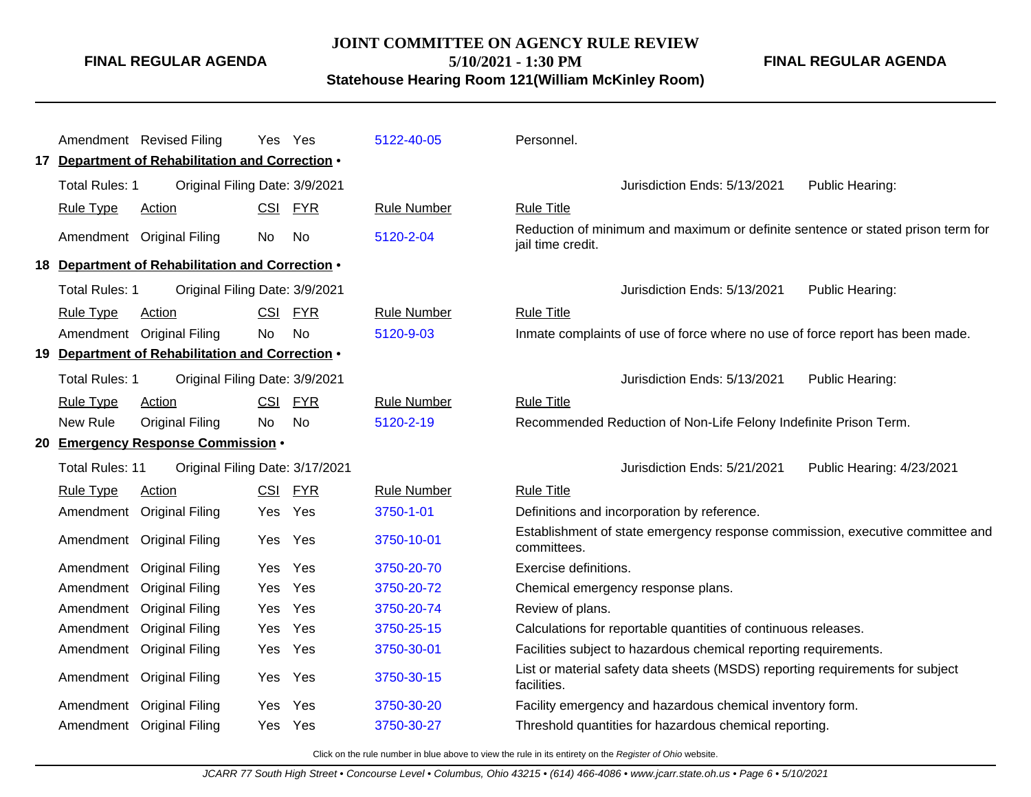# **JOINT COMMITTEE ON AGENCY RULE REVIEW 5/10/2021 - 1:30 PM**

**FINAL REGULAR AGENDA**

**Statehouse Hearing Room 121(William McKinley Room)**

|                        | Amendment Revised Filing                         | Yes        | Yes        | 5122-40-05         | Personnel.                                                                                           |
|------------------------|--------------------------------------------------|------------|------------|--------------------|------------------------------------------------------------------------------------------------------|
|                        | 17 Department of Rehabilitation and Correction . |            |            |                    |                                                                                                      |
|                        |                                                  |            |            |                    |                                                                                                      |
| <b>Total Rules: 1</b>  | Original Filing Date: 3/9/2021                   |            |            |                    | Jurisdiction Ends: 5/13/2021<br>Public Hearing:                                                      |
| <b>Rule Type</b>       | <b>Action</b>                                    | CSI        | <b>FYR</b> | <b>Rule Number</b> | <b>Rule Title</b>                                                                                    |
|                        | Amendment Original Filing                        | No         | No         | 5120-2-04          | Reduction of minimum and maximum or definite sentence or stated prison term for<br>jail time credit. |
|                        | 18 Department of Rehabilitation and Correction . |            |            |                    |                                                                                                      |
| <b>Total Rules: 1</b>  | Original Filing Date: 3/9/2021                   |            |            |                    | Jurisdiction Ends: 5/13/2021<br>Public Hearing:                                                      |
| <b>Rule Type</b>       | Action                                           | <b>CSI</b> | <b>FYR</b> | <b>Rule Number</b> | <b>Rule Title</b>                                                                                    |
|                        | Amendment Original Filing                        | <b>No</b>  | No         | 5120-9-03          | Inmate complaints of use of force where no use of force report has been made.                        |
|                        | 19 Department of Rehabilitation and Correction . |            |            |                    |                                                                                                      |
| <b>Total Rules: 1</b>  | Original Filing Date: 3/9/2021                   |            |            |                    | Jurisdiction Ends: 5/13/2021<br>Public Hearing:                                                      |
| <b>Rule Type</b>       | Action                                           | <b>CSI</b> | <b>FYR</b> | <b>Rule Number</b> | <b>Rule Title</b>                                                                                    |
| <b>New Rule</b>        | <b>Original Filing</b>                           | No.        | <b>No</b>  | 5120-2-19          | Recommended Reduction of Non-Life Felony Indefinite Prison Term.                                     |
|                        | 20 Emergency Response Commission .               |            |            |                    |                                                                                                      |
| <b>Total Rules: 11</b> | Original Filing Date: 3/17/2021                  |            |            |                    | Jurisdiction Ends: 5/21/2021<br>Public Hearing: 4/23/2021                                            |
| <b>Rule Type</b>       | <b>Action</b>                                    | CSI        | <b>FYR</b> | <b>Rule Number</b> | <b>Rule Title</b>                                                                                    |
| Amendment              | <b>Original Filing</b>                           | Yes        | Yes        | 3750-1-01          | Definitions and incorporation by reference.                                                          |
| Amendment              | <b>Original Filing</b>                           | Yes        | Yes        | 3750-10-01         | Establishment of state emergency response commission, executive committee and<br>committees.         |
| Amendment              | <b>Original Filing</b>                           | Yes        | Yes        | 3750-20-70         | Exercise definitions.                                                                                |
| Amendment              | <b>Original Filing</b>                           | Yes        | Yes        | 3750-20-72         | Chemical emergency response plans.                                                                   |
| Amendment              | <b>Original Filing</b>                           | Yes        | Yes        | 3750-20-74         | Review of plans.                                                                                     |
| Amendment              | <b>Original Filing</b>                           | <b>Yes</b> | Yes        | 3750-25-15         | Calculations for reportable quantities of continuous releases.                                       |
| Amendment              | <b>Original Filing</b>                           | Yes        | Yes        | 3750-30-01         | Facilities subject to hazardous chemical reporting requirements.                                     |
| Amendment              | <b>Original Filing</b>                           | Yes        | Yes        | 3750-30-15         | List or material safety data sheets (MSDS) reporting requirements for subject<br>facilities.         |
| Amendment              | <b>Original Filing</b>                           | Yes        | Yes        | 3750-30-20         | Facility emergency and hazardous chemical inventory form.                                            |
|                        | Amendment Original Filing                        | Yes        | Yes        | 3750-30-27         | Threshold quantities for hazardous chemical reporting.                                               |
|                        |                                                  |            |            |                    |                                                                                                      |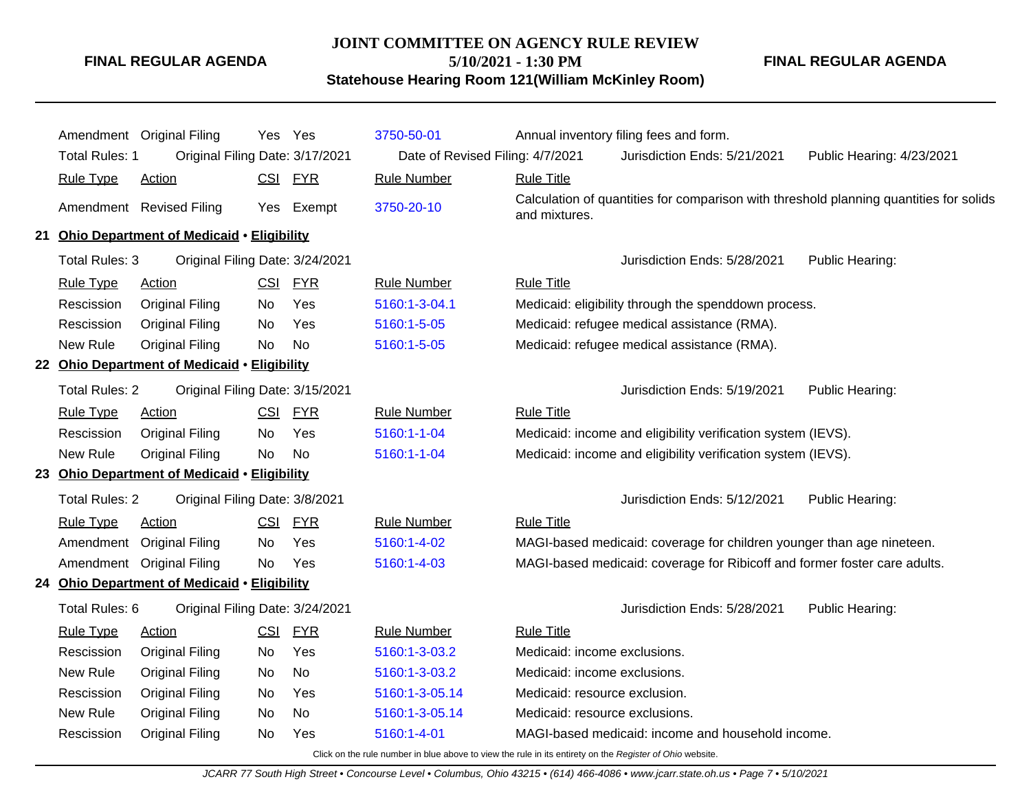#### **JOINT COMMITTEE ON AGENCY RULE REVIEW**

**5/10/2021 - 1:30 PM**

**Statehouse Hearing Room 121(William McKinley Room)**

**FINAL REGULAR AGENDA**

|                       | Amendment Original Filing                    |    | Yes Yes    | 3750-50-01                       |                                             | Annual inventory filing fees and form.                                    |                                                                                        |
|-----------------------|----------------------------------------------|----|------------|----------------------------------|---------------------------------------------|---------------------------------------------------------------------------|----------------------------------------------------------------------------------------|
| <b>Total Rules: 1</b> | Original Filing Date: 3/17/2021              |    |            | Date of Revised Filing: 4/7/2021 |                                             | Jurisdiction Ends: 5/21/2021                                              | Public Hearing: 4/23/2021                                                              |
| <b>Rule Type</b>      | <b>Action</b>                                |    | CSI FYR    | <b>Rule Number</b>               | <b>Rule Title</b>                           |                                                                           |                                                                                        |
|                       | Amendment Revised Filing                     |    | Yes Exempt | 3750-20-10                       | and mixtures.                               |                                                                           | Calculation of quantities for comparison with threshold planning quantities for solids |
|                       | 21 Ohio Department of Medicaid . Eligibility |    |            |                                  |                                             |                                                                           |                                                                                        |
| <b>Total Rules: 3</b> | Original Filing Date: 3/24/2021              |    |            |                                  |                                             | Jurisdiction Ends: 5/28/2021                                              | Public Hearing:                                                                        |
| <b>Rule Type</b>      | Action                                       |    | CSI FYR    | <b>Rule Number</b>               | <b>Rule Title</b>                           |                                                                           |                                                                                        |
| Rescission            | <b>Original Filing</b>                       | No | Yes        | 5160:1-3-04.1                    |                                             | Medicaid: eligibility through the spenddown process.                      |                                                                                        |
| Rescission            | <b>Original Filing</b>                       | No | Yes        | 5160:1-5-05                      | Medicaid: refugee medical assistance (RMA). |                                                                           |                                                                                        |
| New Rule              | <b>Original Filing</b>                       | No | No         | 5160:1-5-05                      | Medicaid: refugee medical assistance (RMA). |                                                                           |                                                                                        |
|                       | 22 Ohio Department of Medicaid . Eligibility |    |            |                                  |                                             |                                                                           |                                                                                        |
| <b>Total Rules: 2</b> | Original Filing Date: 3/15/2021              |    |            |                                  |                                             | Jurisdiction Ends: 5/19/2021                                              | Public Hearing:                                                                        |
| <b>Rule Type</b>      | <b>Action</b>                                |    | CSI FYR    | <b>Rule Number</b>               | <b>Rule Title</b>                           |                                                                           |                                                                                        |
| Rescission            | <b>Original Filing</b>                       | No | Yes        | 5160:1-1-04                      |                                             | Medicaid: income and eligibility verification system (IEVS).              |                                                                                        |
| New Rule              | <b>Original Filing</b>                       | No | No         | 5160:1-1-04                      |                                             | Medicaid: income and eligibility verification system (IEVS).              |                                                                                        |
|                       | 23 Ohio Department of Medicaid . Eligibility |    |            |                                  |                                             |                                                                           |                                                                                        |
| <b>Total Rules: 2</b> | Original Filing Date: 3/8/2021               |    |            |                                  |                                             | Jurisdiction Ends: 5/12/2021                                              | Public Hearing:                                                                        |
| <b>Rule Type</b>      | <b>Action</b>                                |    | CSI FYR    | <b>Rule Number</b>               | <b>Rule Title</b>                           |                                                                           |                                                                                        |
|                       | Amendment Original Filing                    | No | Yes        | 5160:1-4-02                      |                                             | MAGI-based medicaid: coverage for children younger than age nineteen.     |                                                                                        |
|                       | Amendment Original Filing                    | No | Yes        | 5160:1-4-03                      |                                             | MAGI-based medicaid: coverage for Ribicoff and former foster care adults. |                                                                                        |
|                       | 24 Ohio Department of Medicaid . Eligibility |    |            |                                  |                                             |                                                                           |                                                                                        |
| Total Rules: 6        | Original Filing Date: 3/24/2021              |    |            |                                  |                                             | Jurisdiction Ends: 5/28/2021                                              | Public Hearing:                                                                        |
| <b>Rule Type</b>      | <b>Action</b>                                |    | CSI FYR    | <b>Rule Number</b>               | <b>Rule Title</b>                           |                                                                           |                                                                                        |
| Rescission            | <b>Original Filing</b>                       | No | Yes        | 5160:1-3-03.2                    | Medicaid: income exclusions.                |                                                                           |                                                                                        |
| New Rule              | <b>Original Filing</b>                       | No | No         | 5160:1-3-03.2                    | Medicaid: income exclusions.                |                                                                           |                                                                                        |
| Rescission            | <b>Original Filing</b>                       | No | Yes        | 5160:1-3-05.14                   | Medicaid: resource exclusion.               |                                                                           |                                                                                        |
| New Rule              | <b>Original Filing</b>                       | No | No         | 5160:1-3-05.14                   | Medicaid: resource exclusions.              |                                                                           |                                                                                        |
| Rescission            | <b>Original Filing</b>                       | No | Yes        | 5160:1-4-01                      |                                             | MAGI-based medicaid: income and household income.                         |                                                                                        |
|                       |                                              |    |            |                                  |                                             |                                                                           |                                                                                        |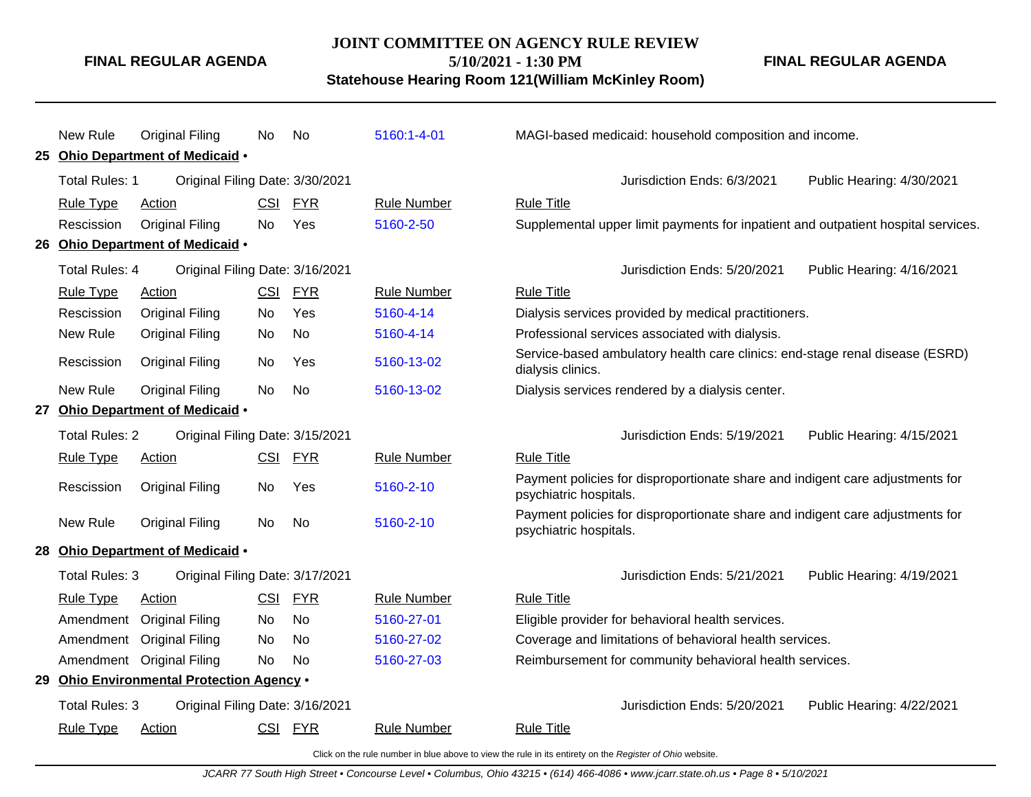# **JOINT COMMITTEE ON AGENCY RULE REVIEW 5/10/2021 - 1:30 PM**

**FINAL REGULAR AGENDA**

**Statehouse Hearing Room 121(William McKinley Room)**

|                                                   | New Rule              | <b>Original Filing</b>                    | No.        | No         | 5160:1-4-01                                               | MAGI-based medicaid: household composition and income.                                                  |
|---------------------------------------------------|-----------------------|-------------------------------------------|------------|------------|-----------------------------------------------------------|---------------------------------------------------------------------------------------------------------|
|                                                   |                       | 25 Ohio Department of Medicaid .          |            |            |                                                           |                                                                                                         |
|                                                   | Total Rules: 1        | Original Filing Date: 3/30/2021           |            |            |                                                           | Jurisdiction Ends: 6/3/2021<br>Public Hearing: 4/30/2021                                                |
|                                                   | <b>Rule Type</b>      | <b>Action</b>                             | CSI        | <b>FYR</b> | <b>Rule Number</b>                                        | <b>Rule Title</b>                                                                                       |
|                                                   | Rescission            | <b>Original Filing</b>                    | No         | Yes        | 5160-2-50                                                 | Supplemental upper limit payments for inpatient and outpatient hospital services.                       |
|                                                   |                       | 26 Ohio Department of Medicaid .          |            |            |                                                           |                                                                                                         |
| Total Rules: 4<br>Original Filing Date: 3/16/2021 |                       |                                           |            |            | Jurisdiction Ends: 5/20/2021<br>Public Hearing: 4/16/2021 |                                                                                                         |
|                                                   | <b>Rule Type</b>      | <b>Action</b>                             | <b>CSI</b> | <u>FYR</u> | <b>Rule Number</b>                                        | <b>Rule Title</b>                                                                                       |
|                                                   | Rescission            | <b>Original Filing</b>                    | No         | Yes        | 5160-4-14                                                 | Dialysis services provided by medical practitioners.                                                    |
|                                                   | New Rule              | <b>Original Filing</b>                    | No         | No         | 5160-4-14                                                 | Professional services associated with dialysis.                                                         |
|                                                   | Rescission            | <b>Original Filing</b>                    | No         | Yes        | 5160-13-02                                                | Service-based ambulatory health care clinics: end-stage renal disease (ESRD)<br>dialysis clinics.       |
|                                                   | New Rule              | <b>Original Filing</b>                    | <b>No</b>  | No         | 5160-13-02                                                | Dialysis services rendered by a dialysis center.                                                        |
| 27                                                |                       | Ohio Department of Medicaid .             |            |            |                                                           |                                                                                                         |
|                                                   | <b>Total Rules: 2</b> | Original Filing Date: 3/15/2021           |            |            |                                                           | Jurisdiction Ends: 5/19/2021<br>Public Hearing: 4/15/2021                                               |
|                                                   | <b>Rule Type</b>      | <b>Action</b>                             | <b>CSI</b> | <b>FYR</b> | <b>Rule Number</b>                                        | <b>Rule Title</b>                                                                                       |
|                                                   | Rescission            | <b>Original Filing</b>                    | No         | Yes        | 5160-2-10                                                 | Payment policies for disproportionate share and indigent care adjustments for<br>psychiatric hospitals. |
|                                                   | New Rule              | <b>Original Filing</b>                    | No         | No         | 5160-2-10                                                 | Payment policies for disproportionate share and indigent care adjustments for<br>psychiatric hospitals. |
|                                                   |                       | 28 Ohio Department of Medicaid .          |            |            |                                                           |                                                                                                         |
|                                                   | Total Rules: 3        | Original Filing Date: 3/17/2021           |            |            |                                                           | Jurisdiction Ends: 5/21/2021<br>Public Hearing: 4/19/2021                                               |
|                                                   | <b>Rule Type</b>      | Action                                    | <b>CSI</b> | <b>FYR</b> | <b>Rule Number</b>                                        | <b>Rule Title</b>                                                                                       |
|                                                   | Amendment             | <b>Original Filing</b>                    | No         | No         | 5160-27-01                                                | Eligible provider for behavioral health services.                                                       |
|                                                   | Amendment             | <b>Original Filing</b>                    | No         | <b>No</b>  | 5160-27-02                                                | Coverage and limitations of behavioral health services.                                                 |
|                                                   |                       | Amendment Original Filing                 | No         | <b>No</b>  | 5160-27-03                                                | Reimbursement for community behavioral health services.                                                 |
|                                                   |                       | 29 Ohio Environmental Protection Agency . |            |            |                                                           |                                                                                                         |
|                                                   | Total Rules: 3        | Original Filing Date: 3/16/2021           |            |            |                                                           | Jurisdiction Ends: 5/20/2021<br>Public Hearing: 4/22/2021                                               |
|                                                   | <b>Rule Type</b>      | <b>Action</b>                             | <u>CSI</u> | <b>FYR</b> | <b>Rule Number</b>                                        | <b>Rule Title</b>                                                                                       |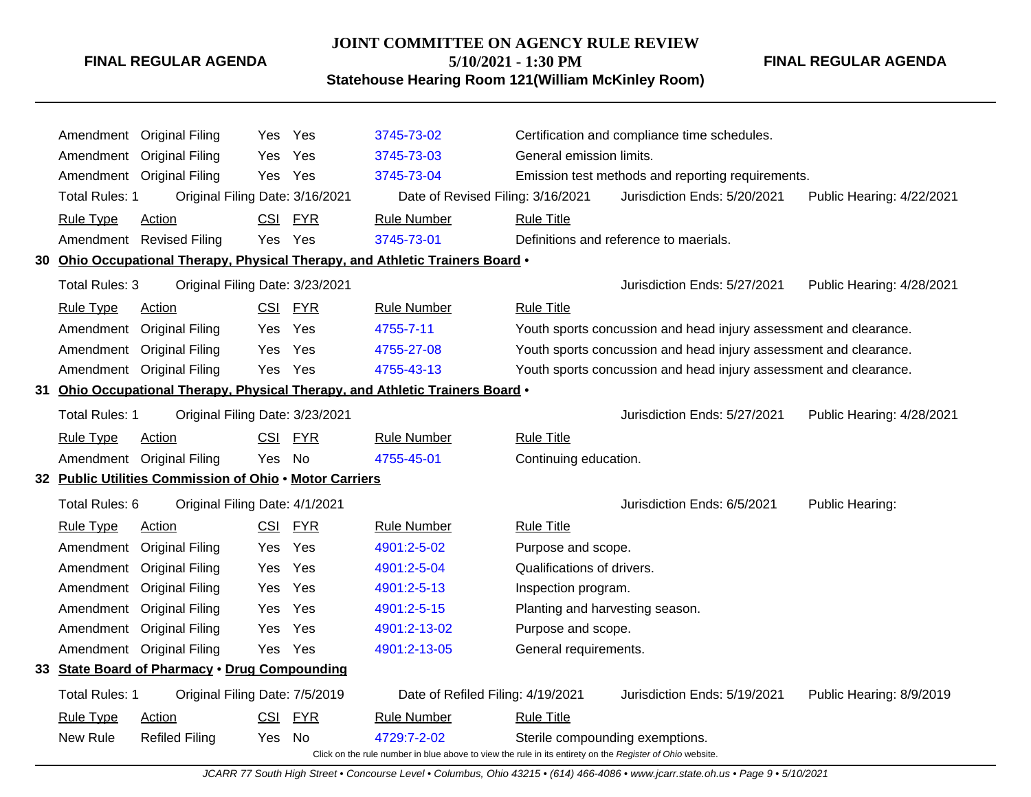# **JOINT COMMITTEE ON AGENCY RULE REVIEW 5/10/2021 - 1:30 PM**

**FINAL REGULAR AGENDA**

**Statehouse Hearing Room 121(William McKinley Room)**

| Amendment                                                                                                | <b>Original Filing</b>                                  | Yes        | Yes        | 3745-73-02                                                                    |                                                                   | Certification and compliance time schedules.      |                           |  |  |
|----------------------------------------------------------------------------------------------------------|---------------------------------------------------------|------------|------------|-------------------------------------------------------------------------------|-------------------------------------------------------------------|---------------------------------------------------|---------------------------|--|--|
| Amendment                                                                                                | <b>Original Filing</b>                                  | <b>Yes</b> | Yes        | 3745-73-03                                                                    | General emission limits.                                          |                                                   |                           |  |  |
|                                                                                                          | Amendment Original Filing                               |            | Yes Yes    | 3745-73-04                                                                    |                                                                   | Emission test methods and reporting requirements. |                           |  |  |
| <b>Total Rules: 1</b>                                                                                    | Original Filing Date: 3/16/2021                         |            |            | Date of Revised Filing: 3/16/2021                                             |                                                                   | Jurisdiction Ends: 5/20/2021                      | Public Hearing: 4/22/2021 |  |  |
| <b>Rule Type</b>                                                                                         | Action                                                  | <b>CSI</b> | <b>FYR</b> | <b>Rule Number</b>                                                            | <b>Rule Title</b>                                                 |                                                   |                           |  |  |
|                                                                                                          | Amendment Revised Filing                                | Yes        | Yes        | 3745-73-01                                                                    |                                                                   | Definitions and reference to maerials.            |                           |  |  |
|                                                                                                          |                                                         |            |            | 30 Ohio Occupational Therapy, Physical Therapy, and Athletic Trainers Board . |                                                                   |                                                   |                           |  |  |
| Total Rules: 3                                                                                           | Original Filing Date: 3/23/2021                         |            |            |                                                                               |                                                                   | Jurisdiction Ends: 5/27/2021                      | Public Hearing: 4/28/2021 |  |  |
| <b>Rule Type</b>                                                                                         | Action                                                  |            | CSI FYR    | <b>Rule Number</b>                                                            | <b>Rule Title</b>                                                 |                                                   |                           |  |  |
| Amendment                                                                                                | <b>Original Filing</b>                                  | Yes.       | Yes        | 4755-7-11                                                                     | Youth sports concussion and head injury assessment and clearance. |                                                   |                           |  |  |
| Amendment                                                                                                | <b>Original Filing</b>                                  | Yes        | Yes        | 4755-27-08                                                                    | Youth sports concussion and head injury assessment and clearance. |                                                   |                           |  |  |
| Amendment                                                                                                | <b>Original Filing</b>                                  | Yes.       | Yes        | 4755-43-13                                                                    | Youth sports concussion and head injury assessment and clearance. |                                                   |                           |  |  |
|                                                                                                          |                                                         |            |            | 31 Ohio Occupational Therapy, Physical Therapy, and Athletic Trainers Board . |                                                                   |                                                   |                           |  |  |
| Total Rules: 1                                                                                           | Original Filing Date: 3/23/2021                         |            |            |                                                                               |                                                                   | Jurisdiction Ends: 5/27/2021                      | Public Hearing: 4/28/2021 |  |  |
| <b>Rule Type</b>                                                                                         | Action                                                  | CSI        | <b>FYR</b> | <b>Rule Number</b>                                                            | <b>Rule Title</b>                                                 |                                                   |                           |  |  |
| Amendment                                                                                                | <b>Original Filing</b>                                  | Yes        | No         | 4755-45-01                                                                    | Continuing education.                                             |                                                   |                           |  |  |
|                                                                                                          | 32 Public Utilities Commission of Ohio . Motor Carriers |            |            |                                                                               |                                                                   |                                                   |                           |  |  |
| Total Rules: 6                                                                                           | Original Filing Date: 4/1/2021                          |            |            |                                                                               |                                                                   | Jurisdiction Ends: 6/5/2021                       | Public Hearing:           |  |  |
| <b>Rule Type</b>                                                                                         | Action                                                  | <b>CSI</b> | <b>FYR</b> | <b>Rule Number</b>                                                            | <b>Rule Title</b>                                                 |                                                   |                           |  |  |
| Amendment                                                                                                | <b>Original Filing</b>                                  | Yes.       | Yes        | 4901:2-5-02                                                                   | Purpose and scope.                                                |                                                   |                           |  |  |
| Amendment                                                                                                | <b>Original Filing</b>                                  | Yes        | Yes        | 4901:2-5-04                                                                   | Qualifications of drivers.                                        |                                                   |                           |  |  |
| Amendment                                                                                                | <b>Original Filing</b>                                  | Yes        | Yes        | 4901:2-5-13                                                                   | Inspection program.                                               |                                                   |                           |  |  |
| Amendment                                                                                                | <b>Original Filing</b>                                  | <b>Yes</b> | Yes        | 4901:2-5-15                                                                   | Planting and harvesting season.                                   |                                                   |                           |  |  |
| Amendment                                                                                                | <b>Original Filing</b>                                  | Yes.       | Yes        | 4901:2-13-02                                                                  | Purpose and scope.                                                |                                                   |                           |  |  |
| Amendment                                                                                                | <b>Original Filing</b>                                  | Yes        | Yes        | 4901:2-13-05                                                                  | General requirements.                                             |                                                   |                           |  |  |
|                                                                                                          | 33 State Board of Pharmacy . Drug Compounding           |            |            |                                                                               |                                                                   |                                                   |                           |  |  |
| Total Rules: 1                                                                                           | Original Filing Date: 7/5/2019                          |            |            | Date of Refiled Filing: 4/19/2021                                             |                                                                   | Jurisdiction Ends: 5/19/2021                      | Public Hearing: 8/9/2019  |  |  |
| <b>Rule Type</b>                                                                                         | Action                                                  |            | CSI FYR    | <b>Rule Number</b>                                                            | <b>Rule Title</b>                                                 |                                                   |                           |  |  |
| New Rule<br><b>Refiled Filing</b><br>4729:7-2-02<br>Sterile compounding exemptions.<br>Yes<br>No.        |                                                         |            |            |                                                                               |                                                                   |                                                   |                           |  |  |
| Click on the rule number in blue above to view the rule in its entirety on the Register of Ohio website. |                                                         |            |            |                                                                               |                                                                   |                                                   |                           |  |  |

JCARR 77 South High Street • Concourse Level • Columbus, Ohio 43215 • (614) 466-4086 • www.jcarr.state.oh.us • Page 9 • 5/10/2021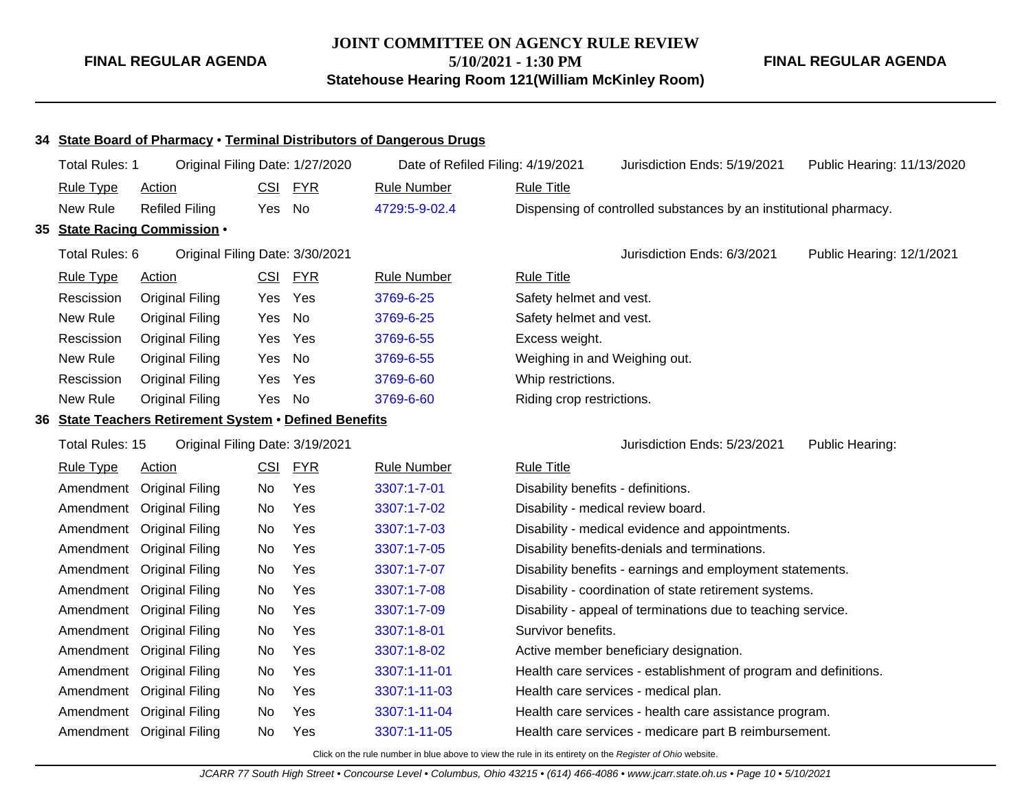# **JOINT COMMITTEE ON AGENCY RULE REVIEW 5/10/2021 - 1:30 PM Statehouse Hearing Room 121(William McKinley Room)**

**FINAL REGULAR AGENDA**

#### **34 State Board of Pharmacy** • **Terminal Distributors of Dangerous Drugs**

| Total Rules: 1                                     | Original Filing Date: 1/27/2020<br>Date of Refiled Filing: 4/19/2021 |            |                                 | Jurisdiction Ends: 5/19/2021 | Public Hearing: 11/13/2020         |                                                                   |                           |  |  |
|----------------------------------------------------|----------------------------------------------------------------------|------------|---------------------------------|------------------------------|------------------------------------|-------------------------------------------------------------------|---------------------------|--|--|
| <b>Rule Type</b>                                   | <b>Action</b>                                                        | <b>CSI</b> | <b>FYR</b>                      | <b>Rule Number</b>           | <b>Rule Title</b>                  |                                                                   |                           |  |  |
| New Rule                                           | <b>Refiled Filing</b>                                                | Yes No     |                                 | 4729:5-9-02.4                |                                    | Dispensing of controlled substances by an institutional pharmacy. |                           |  |  |
|                                                    | 35 State Racing Commission .                                         |            |                                 |                              |                                    |                                                                   |                           |  |  |
| Total Rules: 6                                     |                                                                      |            | Original Filing Date: 3/30/2021 |                              |                                    | Jurisdiction Ends: 6/3/2021                                       | Public Hearing: 12/1/2021 |  |  |
| <b>Rule Type</b>                                   | <b>Action</b>                                                        |            | CSI FYR                         | <b>Rule Number</b>           | <b>Rule Title</b>                  |                                                                   |                           |  |  |
| Rescission                                         | <b>Original Filing</b>                                               | Yes        | Yes                             | 3769-6-25                    | Safety helmet and vest.            |                                                                   |                           |  |  |
| New Rule                                           | <b>Original Filing</b>                                               | Yes        | No                              | 3769-6-25                    | Safety helmet and vest.            |                                                                   |                           |  |  |
| Rescission                                         | <b>Original Filing</b>                                               | Yes        | Yes                             | 3769-6-55                    | Excess weight.                     |                                                                   |                           |  |  |
| New Rule                                           | <b>Original Filing</b>                                               | Yes        | No                              | 3769-6-55                    | Weighing in and Weighing out.      |                                                                   |                           |  |  |
| Rescission                                         | <b>Original Filing</b>                                               | Yes        | Yes                             | 3769-6-60                    | Whip restrictions.                 |                                                                   |                           |  |  |
| New Rule                                           | <b>Original Filing</b>                                               | Yes No     |                                 | 3769-6-60                    | Riding crop restrictions.          |                                                                   |                           |  |  |
|                                                    | 36 State Teachers Retirement System . Defined Benefits               |            |                                 |                              |                                    |                                                                   |                           |  |  |
| Total Rules: 15<br>Original Filing Date: 3/19/2021 |                                                                      |            |                                 |                              |                                    | Jurisdiction Ends: 5/23/2021                                      | Public Hearing:           |  |  |
| <b>Rule Type</b><br><b>Action</b>                  |                                                                      | <u>CSI</u> | <u>FYR</u>                      | <b>Rule Number</b>           | <b>Rule Title</b>                  |                                                                   |                           |  |  |
| Amendment                                          | <b>Original Filing</b>                                               | No         | Yes                             | 3307:1-7-01                  | Disability benefits - definitions. |                                                                   |                           |  |  |
|                                                    | Amendment Original Filing                                            | No         | Yes                             | 3307:1-7-02                  |                                    | Disability - medical review board.                                |                           |  |  |
| Amendment                                          | <b>Original Filing</b>                                               | No         | Yes                             | 3307:1-7-03                  |                                    | Disability - medical evidence and appointments.                   |                           |  |  |
| Amendment                                          | <b>Original Filing</b>                                               | No         | Yes                             | 3307:1-7-05                  |                                    | Disability benefits-denials and terminations.                     |                           |  |  |
| Amendment                                          | <b>Original Filing</b>                                               | No         | Yes                             | 3307:1-7-07                  |                                    | Disability benefits - earnings and employment statements.         |                           |  |  |
| Amendment                                          | <b>Original Filing</b>                                               | No         | Yes                             | 3307:1-7-08                  |                                    | Disability - coordination of state retirement systems.            |                           |  |  |
| Amendment                                          | <b>Original Filing</b>                                               | No         | Yes                             | 3307:1-7-09                  |                                    | Disability - appeal of terminations due to teaching service.      |                           |  |  |
| Amendment                                          | <b>Original Filing</b>                                               | No         | Yes                             | 3307:1-8-01                  | Survivor benefits.                 |                                                                   |                           |  |  |
| Amendment                                          | <b>Original Filing</b>                                               | No         | Yes                             | 3307:1-8-02                  |                                    | Active member beneficiary designation.                            |                           |  |  |
| Amendment                                          | <b>Original Filing</b>                                               | No         | Yes                             | 3307:1-11-01                 |                                    | Health care services - establishment of program and definitions.  |                           |  |  |
| Amendment                                          | <b>Original Filing</b>                                               | No         | Yes                             | 3307:1-11-03                 |                                    | Health care services - medical plan.                              |                           |  |  |
| Amendment                                          | <b>Original Filing</b>                                               | No         | Yes                             | 3307:1-11-04                 |                                    | Health care services - health care assistance program.            |                           |  |  |
|                                                    | Amendment Original Filing                                            | No         | Yes                             | 3307:1-11-05                 |                                    | Health care services - medicare part B reimbursement.             |                           |  |  |
|                                                    |                                                                      |            |                                 |                              |                                    |                                                                   |                           |  |  |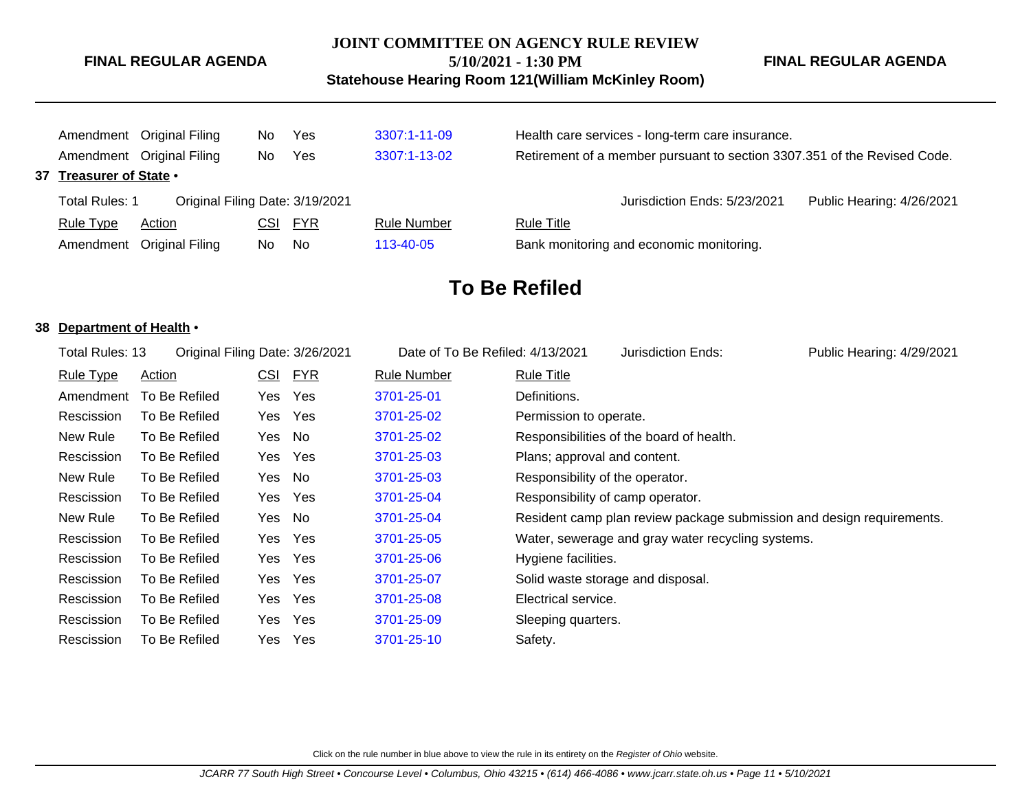#### **JOINT COMMITTEE ON AGENCY RULE REVIEW**

**5/10/2021 - 1:30 PM**

**Statehouse Hearing Room 121(William McKinley Room)**

**FINAL REGULAR AGENDA**

|  |                                                                                    | Amendment Original Filing<br>Yes<br>No. |     | 3307:1-11-09                                                             | Health care services - long-term care insurance. |                                                           |  |  |
|--|------------------------------------------------------------------------------------|-----------------------------------------|-----|--------------------------------------------------------------------------|--------------------------------------------------|-----------------------------------------------------------|--|--|
|  | Amendment Original Filing<br>Yes<br>3307:1-13-02<br>No.<br>37 Treasurer of State • |                                         |     | Retirement of a member pursuant to section 3307.351 of the Revised Code. |                                                  |                                                           |  |  |
|  |                                                                                    |                                         |     |                                                                          |                                                  |                                                           |  |  |
|  | Original Filing Date: 3/19/2021<br>Total Rules: 1                                  |                                         |     |                                                                          |                                                  | Jurisdiction Ends: 5/23/2021<br>Public Hearing: 4/26/2021 |  |  |
|  | <b>Rule Type</b>                                                                   | Action                                  | CSI | <u>FYR</u>                                                               | <b>Rule Number</b>                               | <b>Rule Title</b>                                         |  |  |
|  | Amendment Original Filing<br>No.<br>No.<br>113-40-05                               |                                         |     | Bank monitoring and economic monitoring.                                 |                                                  |                                                           |  |  |

# **To Be Refiled**

#### **38 Department of Health** •

| Total Rules: 13  |               |            | Original Filing Date: 3/26/2021 | Date of To Be Refiled: 4/13/2021 |                                 | Jurisdiction Ends:                                | Public Hearing: 4/29/2021                                             |
|------------------|---------------|------------|---------------------------------|----------------------------------|---------------------------------|---------------------------------------------------|-----------------------------------------------------------------------|
| <b>Rule Type</b> | <b>Action</b> | <u>CSI</u> | <b>FYR</b>                      | <b>Rule Number</b>               | <u>Rule Title</u>               |                                                   |                                                                       |
| Amendment        | To Be Refiled | Yes        | <b>Yes</b>                      | 3701-25-01                       | Definitions.                    |                                                   |                                                                       |
| Rescission       | To Be Refiled | Yes        | Yes                             | 3701-25-02                       | Permission to operate.          |                                                   |                                                                       |
| New Rule         | To Be Refiled | Yes No     |                                 | 3701-25-02                       |                                 | Responsibilities of the board of health.          |                                                                       |
| Rescission       | To Be Refiled | Yes        | Yes                             | 3701-25-03                       | Plans; approval and content.    |                                                   |                                                                       |
| New Rule         | To Be Refiled | Yes No     |                                 | 3701-25-03                       | Responsibility of the operator. |                                                   |                                                                       |
| Rescission       | To Be Refiled | Yes        | Yes                             | 3701-25-04                       |                                 | Responsibility of camp operator.                  |                                                                       |
| New Rule         | To Be Refiled | Yes No     |                                 | 3701-25-04                       |                                 |                                                   | Resident camp plan review package submission and design requirements. |
| Rescission       | To Be Refiled | Yes        | Yes                             | 3701-25-05                       |                                 | Water, sewerage and gray water recycling systems. |                                                                       |
| Rescission       | To Be Refiled | Yes        | Yes                             | 3701-25-06                       | Hygiene facilities.             |                                                   |                                                                       |
| Rescission       | To Be Refiled | Yes        | Yes                             | 3701-25-07                       |                                 | Solid waste storage and disposal.                 |                                                                       |
| Rescission       | To Be Refiled | Yes        | Yes                             | 3701-25-08                       | Electrical service.             |                                                   |                                                                       |
| Rescission       | To Be Refiled | Yes        | Yes                             | 3701-25-09                       | Sleeping quarters.              |                                                   |                                                                       |
| Rescission       | To Be Refiled | Yes Yes    |                                 | 3701-25-10                       | Safety.                         |                                                   |                                                                       |